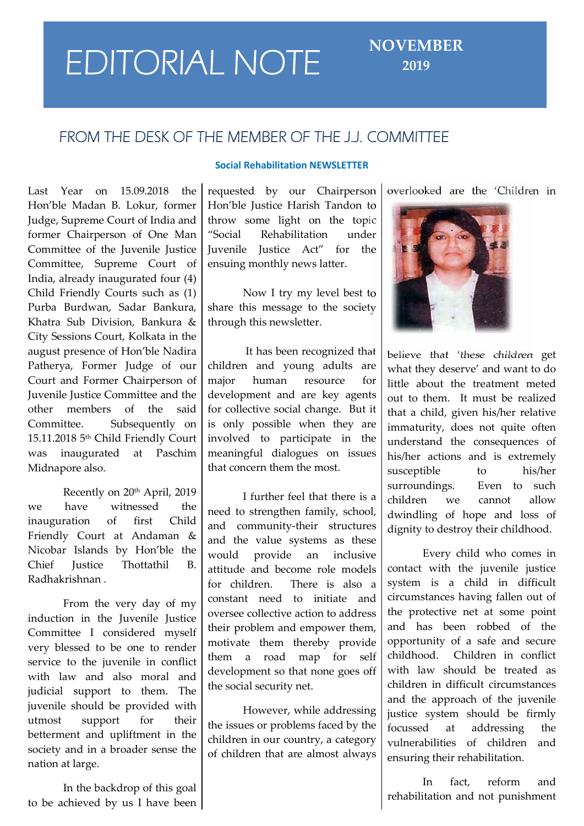# **FEDITORIAL NOTE** NOVEMBER

## **2019**

## **FROM THE DESK OF THE MEMBER OF THE J.J. COMMITTEE**

Last Year on 15.09.2018 the Hon'ble Madan B. Lokur, former Judge, Supreme Court of India and former Chairperson of One Man Committee of the Juvenile Justice Committee, Supreme Court of India, already inaugurated four (4) Child Friendly Courts such as (1) Purba Burdwan, Sadar Bankura, Khatra Sub Division, Bankura & City Sessions Court, Kolkata in the august presence of Hon'ble Nadira Patherya, Former Judge of our Court and Former Chairperson of Juvenile Justice Committee and the other members of the said Committee. Subsequently on 15.11.2018 5th Child Friendly Court was inaugurated at Paschim Midnapore also.

Recently on 20<sup>th</sup> April, 2019 we have witnessed the inauguration of first Child Friendly Court at Andaman & Nicobar Islands by Hon'ble the  $\vert$  would Chief Justice Thottathil B. Radhakrishnan .

From the very day of my induction in the Juvenile Justice Committee I considered myself very blessed to be one to render service to the juvenile in conflict with law and also moral and judicial support to them. The juvenile should be provided with utmost support for their betterment and upliftment in the society and in a broader sense the nation at large.

In the backdrop of this goal to be achieved by us I have been

### **Social Rehabilitation NEWSLETTER**

requested by our Chairperson Hon'ble Justice Harish Tandon to throw some light on the topic Rehabilitation under Juvenile Justice Act" for the ensuing monthly news latter.

Now I try my level best to share this message to the society through this newsletter.

It has been recognized that children and young adults are human resource for development and are key agents for collective social change. But it is only possible when they are involved to participate in the meaningful dialogues on issues that concern them the most.

I further feel that there is a need to strengthen family, school, and community-their structures and the value systems as these provide an inclusive attitude and become role models for children. There is also a constant need to initiate and oversee collective action to address their problem and empower them, motivate them thereby provide them a road map for self childhood. development so that none goes off the social security net.

However, while addressing the issues or problems faced by the  $\int_{\text{focussed}}$ children in our country, a category of children that are almost always

overlooked are the 'Children in



believe that 'these children get what they deserve' and want to do little about the treatment meted out to them. It must be realized that a child, given his/her relative immaturity, does not quite often understand the consequences of his/her actions and is extremely susceptible to his/her surroundings. Even to such children we cannot allow dwindling of hope and loss of dignity to destroy their childhood.

Every child who comes in contact with the juvenile justice system is a child in difficult circumstances having fallen out of the protective net at some point and has been robbed of the opportunity of a safe and secure Children in conflict with law should be treated as children in difficult circumstances and the approach of the juvenile justice system should be firmly at addressing the vulnerabilities of children and ensuring their rehabilitation.

In fact, reform and rehabilitation and not punishment